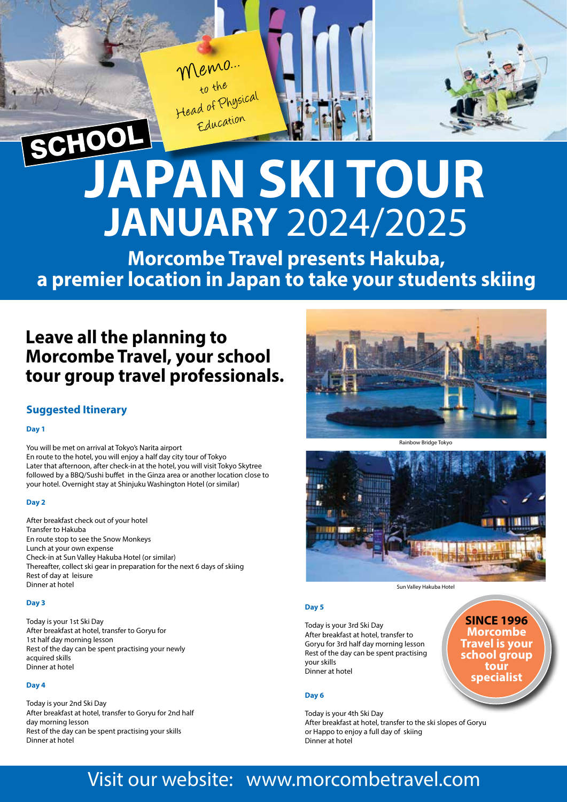Memo...<br>to the<br>Head of Physical Education

# **JAPAN SKI TOUR JANUARY** 2024/2025

**Morcombe Travel presents Hakuba, a premier location in Japan to take your students skiing**

### **Leave all the planning to Morcombe Travel, your school tour group travel professionals.**

### **Suggested Itinerary**

### **Day 1**

You will be met on arrival at Tokyo's Narita airport En route to the hotel, you will enjoy a half day city tour of Tokyo Later that afternoon, after check-in at the hotel, you will visit Tokyo Skytree followed by a BBQ/Sushi buffet in the Ginza area or another location close to your hotel. Overnight stay at Shinjuku Washington Hotel (or similar)

### **Day 2**

After breakfast check out of your hotel Transfer to Hakuba En route stop to see the Snow Monkeys Lunch at your own expense Check-in at Sun Valley Hakuba Hotel (or similar) Thereafter, collect ski gear in preparation for the next 6 days of skiing Rest of day at leisure Dinner at hotel

### **Day 3**

Today is your 1st Ski Day After breakfast at hotel, transfer to Goryu for 1st half day morning lesson Rest of the day can be spent practising your newly acquired skills Dinner at hotel

### **Day 4**

Today is your 2nd Ski Day After breakfast at hotel, transfer to Goryu for 2nd half day morning lesson Rest of the day can be spent practising your skills Dinner at hotel









### **Day 5**

Today is your 3rd Ski Day After breakfast at hotel, transfer to Goryu for 3rd half day morning lesson Rest of the day can be spent practising your skills Dinner at hotel

**SINCE 1996 Morcombe Travel is your school group tour specialist**

### **Day 6**

Today is your 4th Ski Day After breakfast at hotel, transfer to the ski slopes of Goryu or Happo to enjoy a full day of skiing Dinner at hotel

## Visit our website: www.morcombetravel.com